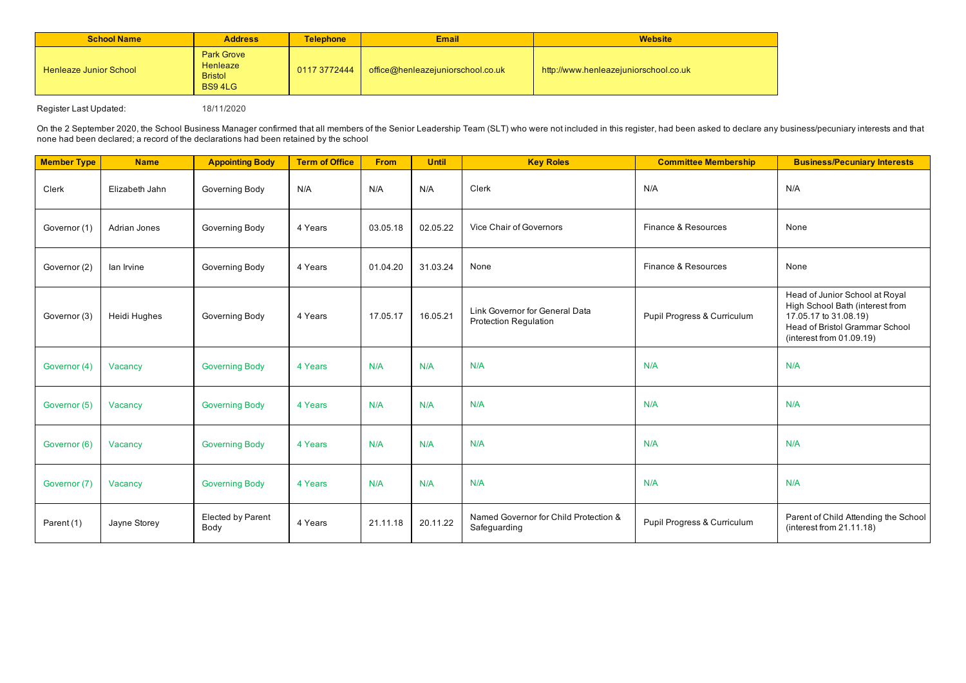| <b>School Name</b>            | <b>Address</b>                                                   | <b>Telephone</b> | <b>Email</b>                      | <b>Website</b>                        |
|-------------------------------|------------------------------------------------------------------|------------------|-----------------------------------|---------------------------------------|
| <b>Henleaze Junior School</b> | <b>Park Grove</b><br>Henleaze<br><b>Bristol</b><br><b>BS94LG</b> | 0117 3772444     | office@henleazejuniorschool.co.uk | http://www.henleazejuniorschool.co.uk |

Register Last Updated: 18/11/2020

On the 2 September 2020, the School Business Manager confirmed that all members of the Senior Leadership Team (SLT) who were not included in this register, had been asked to declare any business/pecuniary interests and tha none had been declared; a record of the declarations had been retained by the school

| <b>Member Type</b> | <b>Name</b>    | <b>Appointing Body</b>    | <b>Term of Office</b> | <b>From</b> | <b>Until</b> | <b>Key Roles</b>                                               | <b>Committee Membership</b> | <b>Business/Pecuniary Interests</b>                                                                                                                         |
|--------------------|----------------|---------------------------|-----------------------|-------------|--------------|----------------------------------------------------------------|-----------------------------|-------------------------------------------------------------------------------------------------------------------------------------------------------------|
| Clerk              | Elizabeth Jahn | Governing Body            | N/A                   | N/A         | N/A          | Clerk                                                          | N/A                         | N/A                                                                                                                                                         |
| Governor (1)       | Adrian Jones   | Governing Body            | 4 Years               | 03.05.18    | 02.05.22     | Vice Chair of Governors                                        | Finance & Resources         | None                                                                                                                                                        |
| Governor (2)       | lan Irvine     | Governing Body            | 4 Years               | 01.04.20    | 31.03.24     | None                                                           | Finance & Resources         | None                                                                                                                                                        |
| Governor (3)       | Heidi Hughes   | Governing Body            | 4 Years               | 17.05.17    | 16.05.21     | Link Governor for General Data<br><b>Protection Regulation</b> | Pupil Progress & Curriculum | Head of Junior School at Royal<br>High School Bath (interest from<br>17.05.17 to 31.08.19)<br>Head of Bristol Grammar School<br>(interest from $01.09.19$ ) |
| Governor (4)       | Vacancy        | <b>Governing Body</b>     | 4 Years               | N/A         | N/A          | N/A                                                            | N/A                         | N/A                                                                                                                                                         |
| Governor (5)       | Vacancy        | <b>Governing Body</b>     | 4 Years               | N/A         | N/A          | N/A                                                            | N/A                         | N/A                                                                                                                                                         |
| Governor (6)       | Vacancy        | <b>Governing Body</b>     | 4 Years               | N/A         | N/A          | N/A                                                            | N/A                         | N/A                                                                                                                                                         |
| Governor (7)       | Vacancy        | <b>Governing Body</b>     | 4 Years               | N/A         | N/A          | N/A                                                            | N/A                         | N/A                                                                                                                                                         |
| Parent (1)         | Jayne Storey   | Elected by Parent<br>Body | 4 Years               | 21.11.18    | 20.11.22     | Named Governor for Child Protection &<br>Safeguarding          | Pupil Progress & Curriculum | Parent of Child Attending the School<br>(interest from $21.11.18$ )                                                                                         |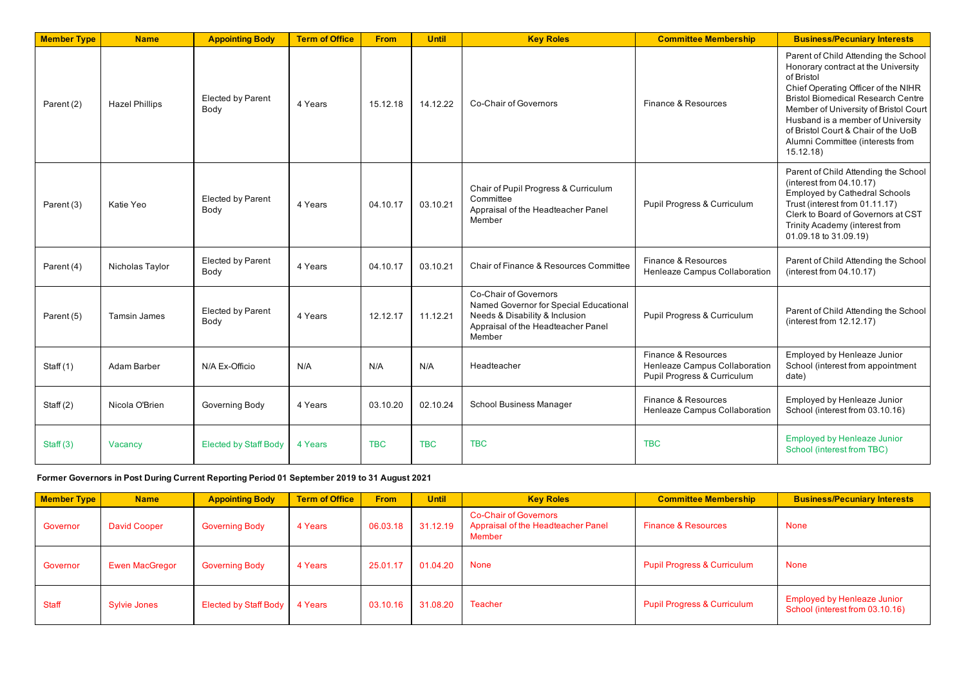| <b>Member Type</b> | <b>Name</b>           | <b>Appointing Body</b>           | <b>Term of Office</b> | <b>From</b> | <b>Until</b> | <b>Key Roles</b>                                                                                                                                  | <b>Committee Membership</b>                                                         | <b>Business/Pecuniary Interests</b>                                                                                                                                                                                                                                                                                                                |
|--------------------|-----------------------|----------------------------------|-----------------------|-------------|--------------|---------------------------------------------------------------------------------------------------------------------------------------------------|-------------------------------------------------------------------------------------|----------------------------------------------------------------------------------------------------------------------------------------------------------------------------------------------------------------------------------------------------------------------------------------------------------------------------------------------------|
| Parent (2)         | <b>Hazel Phillips</b> | Elected by Parent<br>Body        | 4 Years               | 15.12.18    | 14.12.22     | Co-Chair of Governors                                                                                                                             | Finance & Resources                                                                 | Parent of Child Attending the School<br>Honorary contract at the University<br>of Bristol<br>Chief Operating Officer of the NIHR<br><b>Bristol Biomedical Research Centre</b><br>Member of University of Bristol Court<br>Husband is a member of University<br>of Bristol Court & Chair of the UoB<br>Alumni Committee (interests from<br>15.12.18 |
| Parent (3)         | Katie Yeo             | Elected by Parent<br>Body        | 4 Years               | 04.10.17    | 03.10.21     | Chair of Pupil Progress & Curriculum<br>Committee<br>Appraisal of the Headteacher Panel<br>Member                                                 | Pupil Progress & Curriculum                                                         | Parent of Child Attending the School<br>(interest from $04.10.17$ )<br><b>Employed by Cathedral Schools</b><br>Trust (interest from 01.11.17)<br>Clerk to Board of Governors at CST<br>Trinity Academy (interest from<br>01.09.18 to 31.09.19)                                                                                                     |
| Parent (4)         | Nicholas Taylor       | Elected by Parent<br>Body        | 4 Years               | 04.10.17    | 03.10.21     | Chair of Finance & Resources Committee                                                                                                            | Finance & Resources<br>Henleaze Campus Collaboration                                | Parent of Child Attending the School<br>(interest from $04.10.17$ )                                                                                                                                                                                                                                                                                |
| Parent (5)         | <b>Tamsin James</b>   | <b>Elected by Parent</b><br>Body | 4 Years               | 12.12.17    | 11.12.21     | Co-Chair of Governors<br>Named Governor for Special Educational<br>Needs & Disability & Inclusion<br>Appraisal of the Headteacher Panel<br>Member | Pupil Progress & Curriculum                                                         | Parent of Child Attending the School<br>(interest from 12.12.17)                                                                                                                                                                                                                                                                                   |
| Staff $(1)$        | Adam Barber           | N/A Ex-Officio                   | N/A                   | N/A         | N/A          | Headteacher                                                                                                                                       | Finance & Resources<br>Henleaze Campus Collaboration<br>Pupil Progress & Curriculum | Employed by Henleaze Junior<br>School (interest from appointment<br>date)                                                                                                                                                                                                                                                                          |
| Staff $(2)$        | Nicola O'Brien        | Governing Body                   | 4 Years               | 03.10.20    | 02.10.24     | <b>School Business Manager</b>                                                                                                                    | Finance & Resources<br>Henleaze Campus Collaboration                                | Employed by Henleaze Junior<br>School (interest from 03.10.16)                                                                                                                                                                                                                                                                                     |
| Staff $(3)$        | Vacancy               | <b>Elected by Staff Body</b>     | 4 Years               | <b>TBC</b>  | <b>TBC</b>   | <b>TBC</b>                                                                                                                                        | <b>TBC</b>                                                                          | <b>Employed by Henleaze Junior</b><br>School (interest from TBC)                                                                                                                                                                                                                                                                                   |

**Former Governors in Post During Current Reporting Period 01 September 2019 to 31 August 2021**

| <b>Member Type</b> | <b>Name</b>         | <b>Appointing Body</b> | <b>Term of Office</b> | <b>From</b> | <b>Until</b> | <b>Key Roles</b>                                                             | <b>Committee Membership</b>            | <b>Business/Pecuniary Interests</b>                                   |
|--------------------|---------------------|------------------------|-----------------------|-------------|--------------|------------------------------------------------------------------------------|----------------------------------------|-----------------------------------------------------------------------|
| Governor           | <b>David Cooper</b> | <b>Governing Body</b>  | 4 Years               | 06.03.18    | 31.12.19     | <b>Co-Chair of Governors</b><br>Appraisal of the Headteacher Panel<br>Member | <b>Finance &amp; Resources</b>         | <b>None</b>                                                           |
| Governor           | Ewen MacGregor      | <b>Governing Body</b>  | 4 Years               | 25.01.17    | 01.04.20     | <b>None</b>                                                                  | <b>Pupil Progress &amp; Curriculum</b> | <b>None</b>                                                           |
| <b>Staff</b>       | <b>Sylvie Jones</b> | Elected by Staff Body  | 4 Years               | 03.10.16    | 31.08.20     | Teacher                                                                      | <b>Pupil Progress &amp; Curriculum</b> | <b>Employed by Henleaze Junior</b><br>School (interest from 03.10.16) |